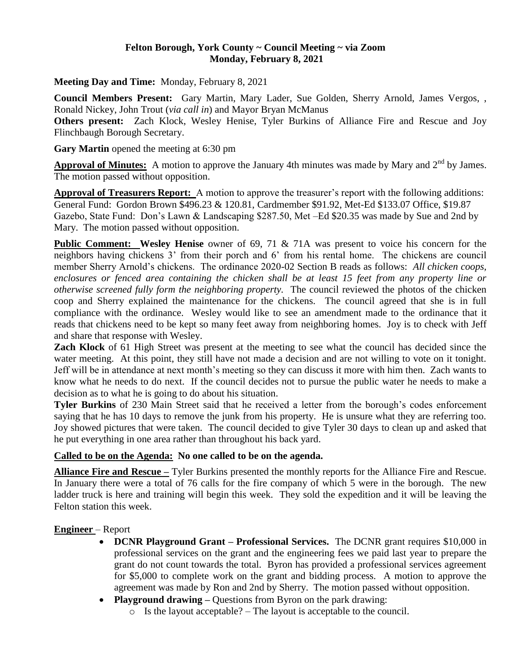#### **Felton Borough, York County ~ Council Meeting ~ via Zoom Monday, February 8, 2021**

**Meeting Day and Time:** Monday, February 8, 2021

**Council Members Present:** Gary Martin, Mary Lader, Sue Golden, Sherry Arnold, James Vergos, , Ronald Nickey, John Trout (*via call in*) and Mayor Bryan McManus

**Others present:** Zach Klock, Wesley Henise, Tyler Burkins of Alliance Fire and Rescue and Joy Flinchbaugh Borough Secretary.

Gary Martin opened the meeting at 6:30 pm

**Approval of Minutes:** A motion to approve the January 4th minutes was made by Mary and 2<sup>nd</sup> by James. The motion passed without opposition.

**Approval of Treasurers Report:** A motion to approve the treasurer's report with the following additions: General Fund: Gordon Brown \$496.23 & 120.81, Cardmember \$91.92, Met-Ed \$133.07 Office, \$19.87 Gazebo, State Fund: Don's Lawn & Landscaping \$287.50, Met –Ed \$20.35 was made by Sue and 2nd by Mary. The motion passed without opposition.

**Public Comment:** Wesley Henise owner of 69, 71 & 71A was present to voice his concern for the neighbors having chickens 3' from their porch and 6' from his rental home. The chickens are council member Sherry Arnold's chickens. The ordinance 2020-02 Section B reads as follows: *All chicken coops, enclosures or fenced area containing the chicken shall be at least 15 feet from any property line or otherwise screened fully form the neighboring property.* The council reviewed the photos of the chicken coop and Sherry explained the maintenance for the chickens. The council agreed that she is in full compliance with the ordinance. Wesley would like to see an amendment made to the ordinance that it reads that chickens need to be kept so many feet away from neighboring homes. Joy is to check with Jeff and share that response with Wesley.

**Zach Klock** of 61 High Street was present at the meeting to see what the council has decided since the water meeting. At this point, they still have not made a decision and are not willing to vote on it tonight. Jeff will be in attendance at next month's meeting so they can discuss it more with him then. Zach wants to know what he needs to do next. If the council decides not to pursue the public water he needs to make a decision as to what he is going to do about his situation.

**Tyler Burkins** of 230 Main Street said that he received a letter from the borough's codes enforcement saying that he has 10 days to remove the junk from his property. He is unsure what they are referring too. Joy showed pictures that were taken. The council decided to give Tyler 30 days to clean up and asked that he put everything in one area rather than throughout his back yard.

### **Called to be on the Agenda: No one called to be on the agenda.**

**Alliance Fire and Rescue –** Tyler Burkins presented the monthly reports for the Alliance Fire and Rescue. In January there were a total of 76 calls for the fire company of which 5 were in the borough. The new ladder truck is here and training will begin this week. They sold the expedition and it will be leaving the Felton station this week.

### **Engineer** – Report

- **DCNR Playground Grant – Professional Services.** The DCNR grant requires \$10,000 in professional services on the grant and the engineering fees we paid last year to prepare the grant do not count towards the total. Byron has provided a professional services agreement for \$5,000 to complete work on the grant and bidding process. A motion to approve the agreement was made by Ron and 2nd by Sherry. The motion passed without opposition.
- **Playground drawing –** Questions from Byron on the park drawing:
	- o Is the layout acceptable? The layout is acceptable to the council.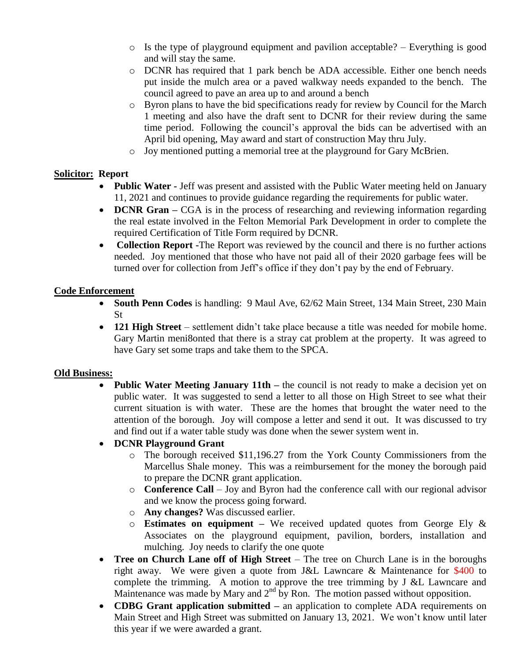- $\circ$  Is the type of playground equipment and pavilion acceptable? Everything is good and will stay the same.
- o DCNR has required that 1 park bench be ADA accessible. Either one bench needs put inside the mulch area or a paved walkway needs expanded to the bench. The council agreed to pave an area up to and around a bench
- o Byron plans to have the bid specifications ready for review by Council for the March 1 meeting and also have the draft sent to DCNR for their review during the same time period. Following the council's approval the bids can be advertised with an April bid opening, May award and start of construction May thru July.
- o Joy mentioned putting a memorial tree at the playground for Gary McBrien.

### **Solicitor: Report**

- **Public Water** Jeff was present and assisted with the Public Water meeting held on January 11, 2021 and continues to provide guidance regarding the requirements for public water.
- **DCNR Gran** CGA is in the process of researching and reviewing information regarding the real estate involved in the Felton Memorial Park Development in order to complete the required Certification of Title Form required by DCNR.
- **Collection Report -**The Report was reviewed by the council and there is no further actions needed. Joy mentioned that those who have not paid all of their 2020 garbage fees will be turned over for collection from Jeff's office if they don't pay by the end of February.

## **Code Enforcement**

- **South Penn Codes** is handling: 9 Maul Ave, 62/62 Main Street, 134 Main Street, 230 Main St
- **121 High Street** settlement didn't take place because a title was needed for mobile home. Gary Martin meni8onted that there is a stray cat problem at the property. It was agreed to have Gary set some traps and take them to the SPCA.

### **Old Business:**

• **Public Water Meeting January 11th** – the council is not ready to make a decision yet on public water. It was suggested to send a letter to all those on High Street to see what their current situation is with water. These are the homes that brought the water need to the attention of the borough. Joy will compose a letter and send it out. It was discussed to try and find out if a water table study was done when the sewer system went in.

# **DCNR Playground Grant**

- o The borough received \$11,196.27 from the York County Commissioners from the Marcellus Shale money. This was a reimbursement for the money the borough paid to prepare the DCNR grant application.
- o **Conference Call**  Joy and Byron had the conference call with our regional advisor and we know the process going forward.
- o **Any changes?** Was discussed earlier.
- o **Estimates on equipment –** We received updated quotes from George Ely & Associates on the playground equipment, pavilion, borders, installation and mulching. Joy needs to clarify the one quote
- Tree on Church Lane off of High Street The tree on Church Lane is in the boroughs right away. We were given a quote from J&L Lawncare & Maintenance for \$400 to complete the trimming. A motion to approve the tree trimming by J &L Lawncare and Maintenance was made by Mary and  $2<sup>nd</sup>$  by Ron. The motion passed without opposition.
- **CDBG Grant application submitted –** an application to complete ADA requirements on Main Street and High Street was submitted on January 13, 2021. We won't know until later this year if we were awarded a grant.